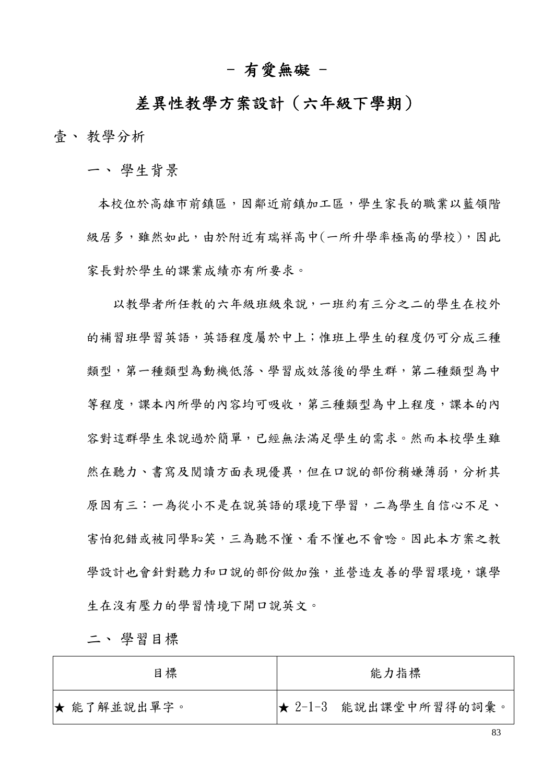## - 有愛無礙 -

# 差異性教學方案設計(六年級下學期)

壹、 教學分析

一、 學生背景

本校位於高雄市前鎮區,因鄰近前鎮加工區,學生家長的職業以藍領階 級居多,雖然如此,由於附近有瑞祥高中(一所升學率極高的學校),因此 家長對於學生的課業成績亦有所要求。

 以教學者所任教的六年級班級來說,一班約有三分之二的學生在校外 的補習班學習英語,英語程度屬於中上;惟班上學生的程度仍可分成三種 類型,第一種類型為動機低落、學習成效落後的學生群,第二種類型為中 等程度,課本內所學的內容均可吸收,第三種類型為中上程度,課本的內 容對這群學生來說過於簡單,已經無法滿足學生的需求。然而本校學生雖 然在聽力、書寫及閱讀方面表現優異,但在口說的部份稍嫌薄弱,分析其 原因有三:一為從小不是在說英語的環境下學習,二為學生自信心不足、 害怕犯錯或被同學恥笑,三為聽不懂、看不懂也不會唸。因此本方案之教 學設計也會針對聽力和口說的部份做加強,並營造友善的學習環境,讓學 生在沒有壓力的學習情境下開口說英文。

二、 學習目標

| 目標          | 能力指標                  |
|-------------|-----------------------|
| ★ 能了解並說出單字。 | ★ 2-1-3 能說出課堂中所習得的詞彙。 |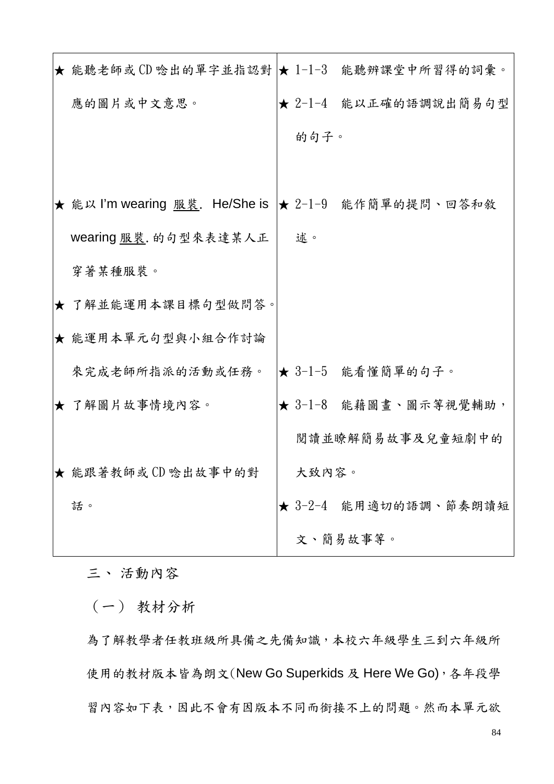| ★ 能聽老師或CD 唸出的單字並指認對  ★ 1-1-3 能聽辨課堂中所習得的詞彙。           |       |                       |
|------------------------------------------------------|-------|-----------------------|
| 應的圖片或中文意思。                                           |       | ★ 2-1-4 能以正確的語調說出簡易句型 |
|                                                      | 的句子。  |                       |
|                                                      |       |                       |
| ★ 能以 I'm wearing 服裝. He/She is  ★ 2-1-9 能作簡單的提問、回答和敘 |       |                       |
| wearing 服裝. 的句型來表達某人正                                | 述。    |                       |
| 穿著某種服裝。                                              |       |                       |
| ★ 了解並能運用本課目標句型做問答。                                   |       |                       |
| ★ 能運用本單元句型與小組合作討論                                    |       |                       |
| 來完成老師所指派的活動或任務。                                      |       | ★ 3-1-5 能看懂簡單的句子。     |
| ★ 了解圖片故事情境內容。                                        |       | ★ 3-1-8 能藉圖畫、圖示等視覺輔助, |
|                                                      |       | 閱讀並瞭解簡易故事及兒童短劇中的      |
| ★ 能跟著教師或 CD 唸出故事中的對                                  | 大致内容。 |                       |
| 話。                                                   |       | ★ 3-2-4 能用適切的語調、節奏朗讀短 |
|                                                      |       | 文、簡易故事等。              |

三、 活動內容

(一) 教材分析

為了解教學者任教班級所具備之先備知識,本校六年級學生三到六年級所 使用的教材版本皆為朗文(New Go Superkids 及 Here We Go),各年段學 習內容如下表,因此不會有因版本不同而銜接不上的問題。然而本單元欲

84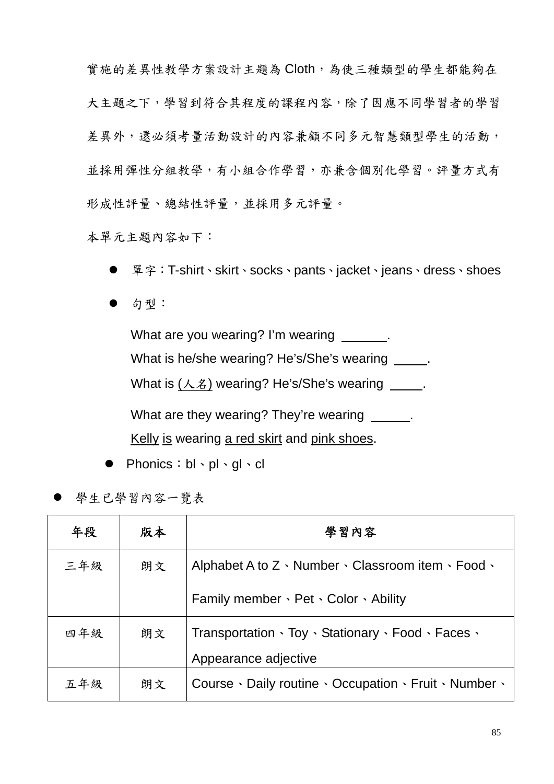實施的差異性教學方案設計主題為 Cloth,為使三種類型的學生都能夠在 大主題之下,學習到符合其程度的課程內容,除了因應不同學習者的學習 差異外,還必須考量活動設計的內容兼顧不同多元智慧類型學生的活動, 並採用彈性分組教學,有小組合作學習,亦兼含個別化學習。評量方式有 形成性評量、總結性評量,並採用多元評量。

本單元主題內容如下:

單字:T-shirt、skirt、socks、pants、jacket、jeans、dress、shoes

句型:

What are you wearing? I'm wearing ... What is he/she wearing? He's/She's wearing \_\_\_\_\_. What is  $(A, \&)$  wearing? He's/She's wearing ... What are they wearing? They're wearing ...

Kelly is wearing a red skirt and pink shoes.

- Phonics: bl · pl · ql · cl
- 學生已學習內容一覽表

| 年段  | 版本 | 學習內容                                                                       |  |
|-----|----|----------------------------------------------------------------------------|--|
| 三年級 | 朗文 | Alphabet A to Z $\cdot$ Number $\cdot$ Classroom item $\cdot$ Food $\cdot$ |  |
|     |    | Family member · Pet · Color · Ability                                      |  |
| 四年級 | 朗文 | Transportation · Toy · Stationary · Food · Faces ·                         |  |
|     |    | Appearance adjective                                                       |  |
| 五年級 | 朗文 | Course · Daily routine · Occupation · Fruit · Number ·                     |  |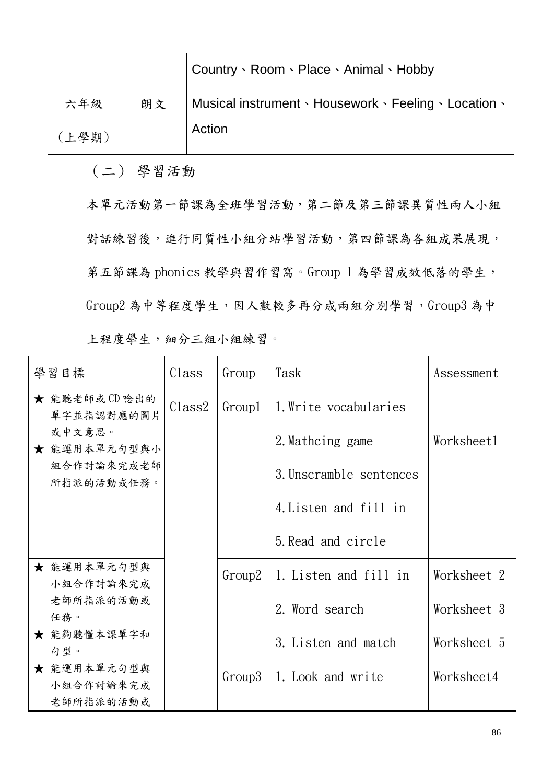|       |    | Country · Room · Place · Animal · Hobby               |
|-------|----|-------------------------------------------------------|
| 六年級   | 朗文 | Musical instrument · Housework · Feeling · Location · |
| (上學期) |    | Action                                                |

(二) 學習活動

本單元活動第一節課為全班學習活動,第二節及第三節課異質性兩人小組 對話練習後,進行同質性小組分站學習活動,第四節課為各組成果展現, 第五節課為 phonics 教學與習作習寫。Group 1 為學習成效低落的學生, Group2 為中等程度學生,因人數較多再分成兩組分別學習,Group3 為中 上程度學生,細分三組小組練習。

| 學習目標                                  | Class              | Group  | Task                    | Assessment  |
|---------------------------------------|--------------------|--------|-------------------------|-------------|
| ★ 能聽老師或CD 唸出的<br>單字並指認對應的圖片           | Class <sub>2</sub> | Group1 | 1. Write vocabularies   |             |
| 或中文意思。<br>★ 能運用本單元句型與小                |                    |        | 2. Mathcing game        | Worksheet1  |
| 組合作討論來完成老師<br>所指派的活動或任務。              |                    |        | 3. Unscramble sentences |             |
|                                       |                    |        | 4. Listen and fill in   |             |
|                                       |                    |        | 5. Read and circle      |             |
| ★ 能運用本單元句型與<br>小組合作討論來完成              |                    | Group2 | 1. Listen and fill in   | Worksheet 2 |
| 老師所指派的活動或<br>任務。                      |                    |        | 2. Word search          | Worksheet 3 |
| ★ 能夠聽懂本課單字和<br>句型。                    |                    |        | 3. Listen and match     | Worksheet 5 |
| ★ 能運用本單元句型與<br>小組合作討論來完成<br>老師所指派的活動或 |                    | Group3 | 1. Look and write       | Worksheet4  |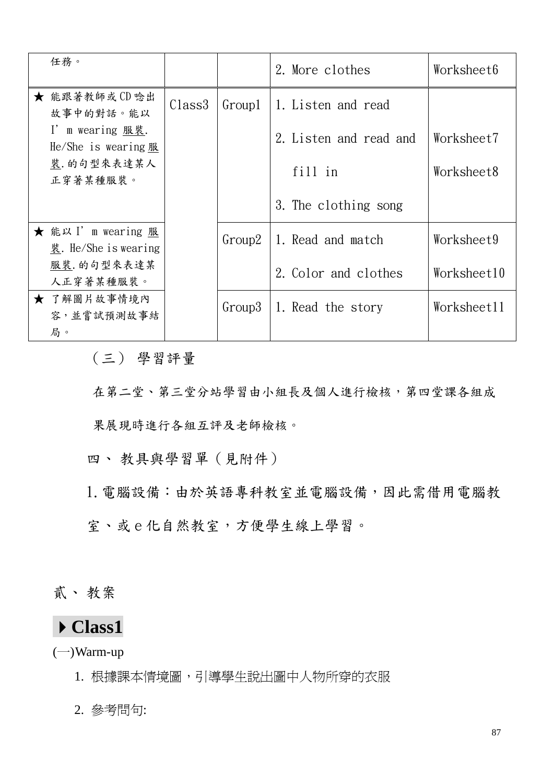| 任務。                                                       |                    |          | 2. More clothes        | Worksheet6  |
|-----------------------------------------------------------|--------------------|----------|------------------------|-------------|
| ★ 能跟著教師或CD 唸出<br>故事中的對話。能以                                | Class <sup>3</sup> | Group1   | 1. Listen and read     |             |
| I' m wearing 服裝.<br>He/She is wearing $R$                 |                    |          | 2. Listen and read and | Worksheet7  |
| 裝. 的句型來表達某人<br>正穿著某種服裝。                                   |                    |          | fill in                | Worksheet8  |
|                                                           |                    |          | 3. The clothing song   |             |
| ★ 能以 I' m wearing 服<br>$\frac{1}{12}$ . He/She is wearing |                    | Group2   | 1. Read and match      | Worksheet9  |
| 服裝. 的句型來表達某<br>人正穿著某種服裝。                                  |                    |          | 2. Color and clothes   | Worksheet10 |
| ★ 了解圖片故事情境內<br>容,並嘗試預測故事結<br>局。                           |                    | $Group3$ | 1. Read the story      | Worksheet11 |

(三) 學習評量

在第二堂、第三堂分站學習由小組長及個人進行檢核,第四堂課各組成

果展現時進行各組互評及老師檢核。

四、 教具與學習單(見附件)

1.電腦設備:由於英語專科教室並電腦設備,因此需借用電腦教 室、或 e 化自然教室,方便學生線上學習。

貳、 教案

# **Class1**

 $(-)$ Warm-up

1. 根據課本情境圖,引導學生說出圖中人物所穿的衣服

2. 參考問句: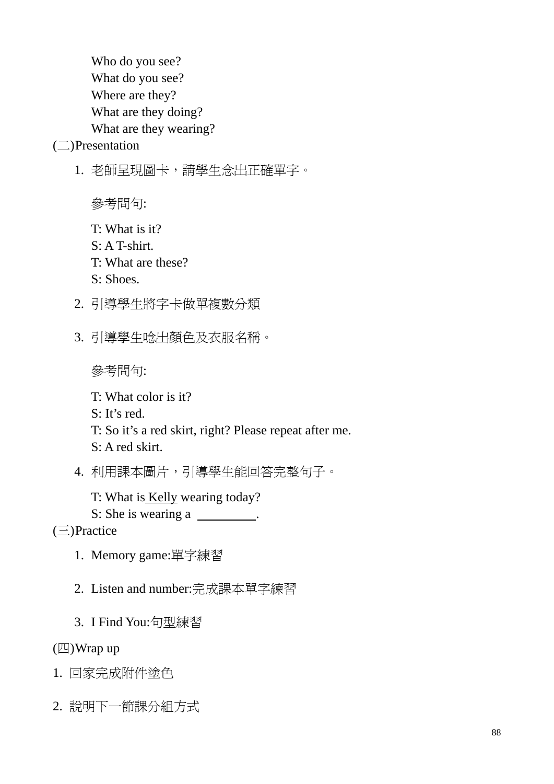Who do you see? What do you see? Where are they? What are they doing? What are they wearing?

(二)Presentation

1. 老師呈現圖卡,請學生念出正確單字。

參考問句:

- T: What is it?
- $S \cdot A$  T-shirt.
- T: What are these?
- S: Shoes.
- 2. 引導學生將字卡做單複數分類
- 3. 引導學生唸出顏色及衣服名稱。

參考問句:

T: What color is it?

S: It's red.

T: So it's a red skirt, right? Please repeat after me.

S: A red skirt.

4. 利用課本圖片,引導學生能回答完整句子。

T: What is Kelly wearing today?

S: She is wearing a .

 $(\equiv)$ Practice

- 1. Memory game:單字練習
- 2. Listen and number:完成課本單字練習
- 3. I Find You:句型練習

(四)Wrap up

- 1. 回家完成附件塗色
- 2. 說明下一節課分組方式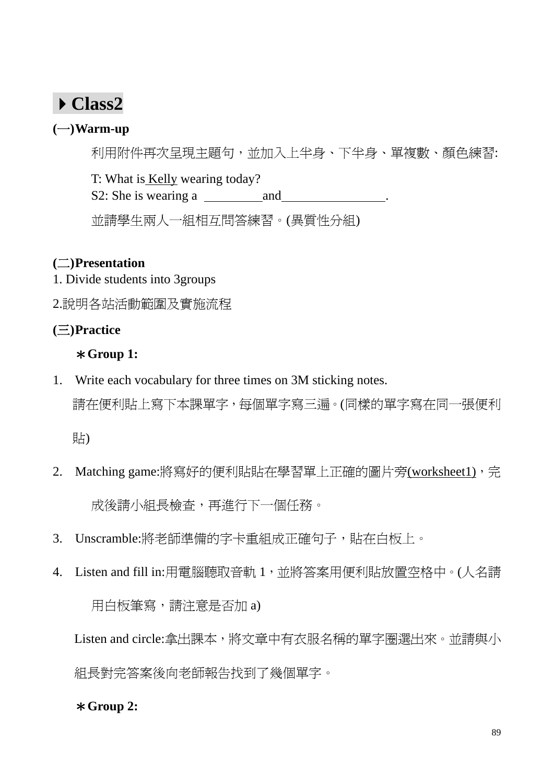# **Class2**

### **(**一**)Warm-up**

利用附件再次呈現主題句,並加入上半身、下半身、單複數、顏色練習:

T: What is Kelly wearing today?

S2: She is wearing a and ...

並請學生兩人一組相互問答練習。(異質性分組)

### **(**二**)Presentation**

- 1. Divide students into 3groups
- 2.說明各站活動範圍及實施流程

### **(**三**)Practice**

### \***Group 1:**

1. Write each vocabulary for three times on 3M sticking notes.

請在便利貼上寫下本課單字,每個單字寫三遍。(同樣的單字寫在同一張便利

貼)

- 2. Matching game:將寫好的便利貼貼在學習單上正確的圖片旁(worksheet1),完 成後請小組長檢查,再進行下一個任務。
- 3. Unscramble:將老師準備的字卡重組成正確句子,貼在白板上。
- 4. Listen and fill in:用電腦聽取音軌 1,並將答案用便利貼放置空格中。(人名請

用白板筆寫,請注意是否加 a)

Listen and circle:拿出課本,將文章中有衣服名稱的單字圈選出來。並請與小 組長對完答案後向老師報告找到了幾個單字。

### \***Group 2:**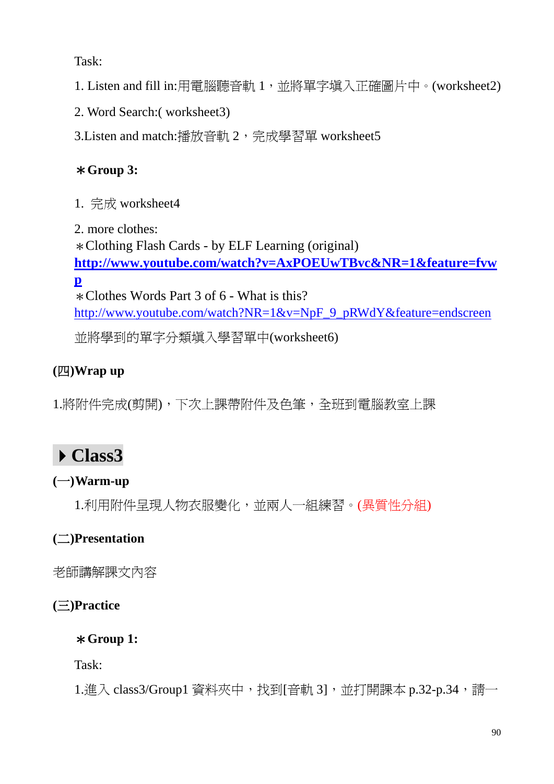Task:

1. Listen and fill in:用電腦聽音軌 1,並將單字填入正確圖片中。(worksheet2)

2. Word Search:( worksheet3)

3.Listen and match:播放音軌 2,完成學習單 worksheet5

## \***Group 3:**

1. 完成 worksheet4

2. more clothes: \*Clothing Flash Cards - by ELF Learning (original) **http://www.youtube.com/watch?v=AxPOEUwTBvc&NR=1&feature=fvw p** \*Clothes Words Part 3 of 6 - What is this? http://www.youtube.com/watch?NR=1&v=NpF\_9\_pRWdY&feature=endscreen 並將學到的單字分類填入學習單中(worksheet6)

# **(**四**)Wrap up**

1.將附件完成(剪開),下次上課帶附件及色筆,全班到電腦教室上課

# **Class3**

### **(**一**)Warm-up**

1.利用附件呈現人物衣服變化,並兩人一組練習。(異質性分組)

# **(**二**)Presentation**

老師講解課文內容

**(**三**)Practice** 

\***Group 1:** 

Task:

1.進入 class3/Group1 資料夾中,找到[音軌 3], 並打開課本 p.32-p.34,請一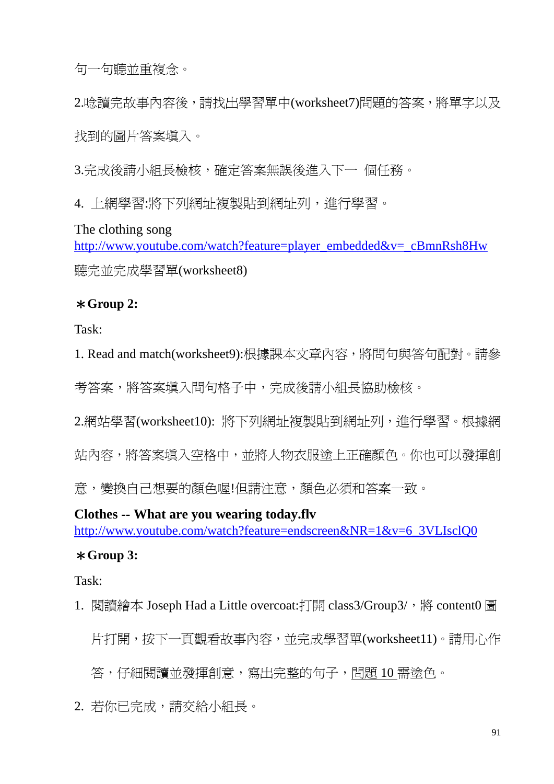句一句聽並重複念。

2.唸讀完故事內容後,請找出學習單中(worksheet7)問題的答案,將單字以及 找到的圖片答案填入。

3.完成後請小組長檢核,確定答案無誤後進入下一 個任務。

4. 上網學習:將下列網址複製貼到網址列,進行學習。

The clothing song

http://www.youtube.com/watch?feature=player\_embedded&v=\_cBmnRsh8Hw 聽完並完成學習單(worksheet8)

#### \***Group 2:**

Task:

1. Read and match(worksheet9):根據課本文章內容,將問句與答句配對。請參 考答案,將答案填入問句格子中,完成後請小組長協助檢核。

2.網站學習(worksheet10): 將下列網址複製貼到網址列,進行學習。根據網 站內容,將答案填入空格中,並將人物衣服塗上正確顏色。你也可以發揮創

意,變換自己想要的顏色喔!但請注意,顏色必須和答案一致。

**Clothes -- What are you wearing today.flv**  http://www.youtube.com/watch?feature=endscreen&NR=1&v=6\_3VLIsclQ0

#### \***Group 3:**

Task:

1. 閱讀繪本 Joseph Had a Little overcoat:打開 class3/Group3/, 將 content0 圖 片打開,按下一頁觀看故事內容,並完成學習單(worksheet11)。請用心作 答,仔細閱讀並發揮創意,寫出完整的句子,問題 10 需塗色。

2. 若你已完成,請交給小組長。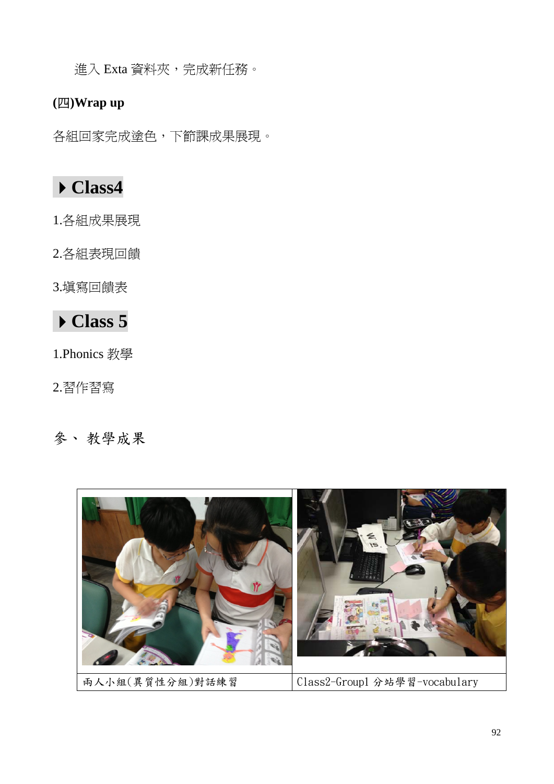進入 Exta 資料夾,完成新任務。

### **(**四**)Wrap up**

各組回家完成塗色,下節課成果展現。

# **Class4**

1.各組成果展現

2.各組表現回饋

3.填寫回饋表

# **Class 5**

1.Phonics 教學

2.習作習寫

# 參、 教學成果

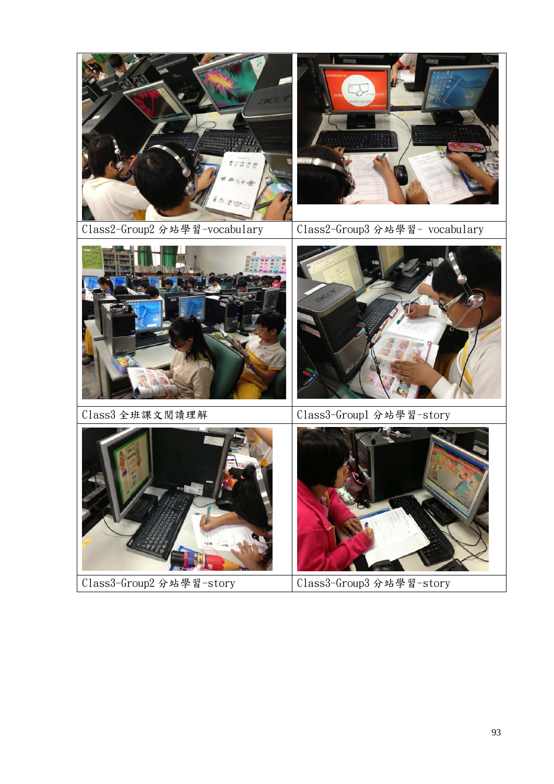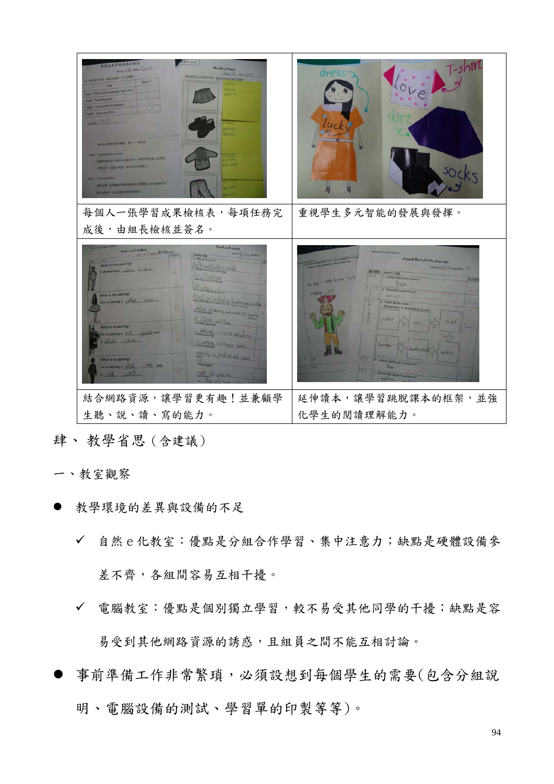| 學習或業單接核表(Unit3)<br><b>Matching Garse</b><br><b>Great 115, New Kyon</b><br><b>WINCON-DESER-FILERS</b><br>我的世界以上無視的第三十二回的世界中国民族連<br>Don't of<br><b>OGEH!</b><br>add I Write such vocabulary three tim<br><b>SANTA</b><br>lists : Courantly the sitters<br><b>TalkA   Lines and Hill in</b><br><b>MANA</b> ALIVE<br>sthous<br>بالمميلان<br><b>REAL-TRACTABLE AFT-MILL</b><br>weber<br><b>MANAQUERNATIONS-MUSEUMANISMS</b><br><b>Second</b><br>約835円 (日本小町田 セスペの圧れな))<br>an a line and dil as<br><b>建設設備 - 公共経営的開業管理成果入學習等」(windublesCLE)</b><br>SP200 - HENN2HP(SRN) | $7 - 5h$<br>dress                                                                                                                                                                                                                                                                                                                                                                                                                                                                 |  |
|-------------------------------------------------------------------------------------------------------------------------------------------------------------------------------------------------------------------------------------------------------------------------------------------------------------------------------------------------------------------------------------------------------------------------------------------------------------------------------------------------------------------------------------------------------------------|-----------------------------------------------------------------------------------------------------------------------------------------------------------------------------------------------------------------------------------------------------------------------------------------------------------------------------------------------------------------------------------------------------------------------------------------------------------------------------------|--|
| 每個人一張學習成果檢核表,每項任務完<br>成後,由組長檢核並簽名。                                                                                                                                                                                                                                                                                                                                                                                                                                                                                                                                | 重視學生多元智能的發展與發揮。                                                                                                                                                                                                                                                                                                                                                                                                                                                                   |  |
| Read and match                                                                                                                                                                                                                                                                                                                                                                                                                                                                                                                                                    |                                                                                                                                                                                                                                                                                                                                                                                                                                                                                   |  |
| Cular and clothes __ With<br>www. 172, 113 month<br>1. When the plan bin 7<br>dyan Kelly mon<br>that are you wearing?<br>on wearing a sichon 1-shirt<br>$-110161$<br>will state the next day of<br>What is she wearing?<br>elswearing a whow dress<br>And 42 Strict Ming and prints to Ta<br>Carloslos and Any<br>het is he wearing?<br>WARRANTING A T-chirl and ports.<br>is wearing a will jacket and<br>black skirt<br>S ANTHONY OF DEALER SERVICE<br>wards a laded out look.<br>What is he wearing?<br>teismong a Wad hat and<br>100                          | <b>Such Party 12 and 3 Address 2</b><br>Joseph Had a Little overcoat<br>(S. Hadmun (E.) 149, Hambor<br>周川 时间:<br><b>FIRMA EEU</b><br>1011<br>L. What's the man's name?<br>the love in little Little So &<br>相反触<br>2. What did Joseph have?<br>1. What did he make?<br>Nease draw or write them in ord<br>$ack +$<br>$5$ car $\downarrow$<br><b>VESTI</b><br>necktie<br>$\overline{21}$<br>14 When<br>I did he go in picture<br>$\frac{1}{2}$<br>5. Where did he go in picture 47 |  |
| 結合網路資源,讓學習更有趣!並兼顧學<br>生聽、說、讀、寫的能力。                                                                                                                                                                                                                                                                                                                                                                                                                                                                                                                                | 延伸讀本,讓學習跳脫課本的框架,並強<br>化學生的閱讀理解能力。                                                                                                                                                                                                                                                                                                                                                                                                                                                 |  |
|                                                                                                                                                                                                                                                                                                                                                                                                                                                                                                                                                                   |                                                                                                                                                                                                                                                                                                                                                                                                                                                                                   |  |

#### 肆、 教學省思(含建議)

- 一、教室觀察
- 教學環境的差異與設備的不足
	- 自然 e 化教室:優點是分組合作學習、集中注意力;缺點是硬體設備參 差不齊,各組間容易互相干擾。
	- 電腦教室:優點是個別獨立學習,較不易受其他同學的干擾;缺點是容 易受到其他網路資源的誘惑,且組員之間不能互相討論。
- 事前準備工作非常繁瑣,必須設想到每個學生的需要(包含分組說 明、電腦設備的測試、學習單的印製等等)。